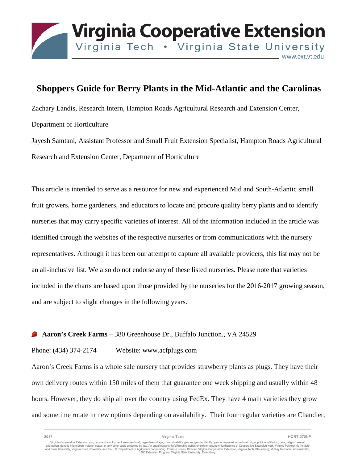

## **Shoppers Guide for Berry Plants in the Mid-Atlantic and the Carolinas**

Zachary Landis, Research Intern, Hampton Roads Agricultural Research and Extension Center, Department of Horticulture

Jayesh Samtani, Assistant Professor and Small Fruit Extension Specialist, Hampton Roads Agricultural Research and Extension Center, Department of Horticulture

This article is intended to serve as a resource for new and experienced Mid and South-Atlantic small fruit growers, home gardeners, and educators to locate and procure quality berry plants and to identify nurseries that may carry specific varieties of interest. All of the information included in the article was identified through the websites of the respective nurseries or from communications with the nursery representatives. Although it has been our attempt to capture all available providers, this list may not be an all-inclusive list. We also do not endorse any of these listed nurseries. Please note that varieties included in the charts are based upon those provided by the nurseries for the 2016-2017 growing season, and are subject to slight changes in the following years.

#### **Aaron's Creek Farms** – 380 Greenhouse Dr., Buffalo Junction., VA 24529

#### Phone: (434) 374-2174 Website: www.acfplugs.com

Aaron's Creek Farms is a whole sale nursery that provides strawberry plants as plugs. They have their own delivery routes within 150 miles of them that guarantee one week shipping and usually within 48 hours. However, they do ship all over the country using FedEx. They have 4 main varieties they grow and sometime rotate in new options depending on availability. Their four regular varieties are Chandler,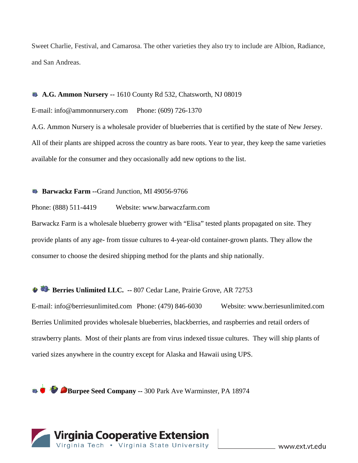Sweet Charlie, Festival, and Camarosa. The other varieties they also try to include are Albion, Radiance, and San Andreas.

#### **A.G. Ammon Nursery --** 1610 County Rd 532, Chatsworth, NJ 08019

E-mail: info@ammonnursery.com Phone: (609) 726-1370

A.G. Ammon Nursery is a wholesale provider of blueberries that is certified by the state of New Jersey. All of their plants are shipped across the country as bare roots. Year to year, they keep the same varieties available for the consumer and they occasionally add new options to the list.

#### **Barwackz Farm --**Grand Junction, MI 49056-9766

Phone: (888) 511-4419 Website: www.barwaczfarm.com

Barwackz Farm is a wholesale blueberry grower with "Elisa" tested plants propagated on site. They provide plants of any age- from tissue cultures to 4-year-old container-grown plants. They allow the consumer to choose the desired shipping method for the plants and ship nationally.

### **Berries Unlimited LLC. -- 807 Cedar Lane, Prairie Grove, AR 72753**

E-mail: info@berriesunlimited.com Phone: (479) 846-6030 Website: www.berriesunlimited.com Berries Unlimited provides wholesale blueberries, blackberries, and raspberries and retail orders of strawberry plants. Most of their plants are from virus indexed tissue cultures. They will ship plants of varied sizes anywhere in the country except for Alaska and Hawaii using UPS.

**Burpee Seed Company --** 300 Park Ave Warminster, PA 18974

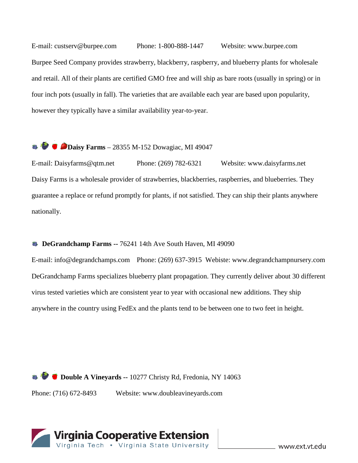E-mail: custserv@burpee.com Phone: 1-800-888-1447 Website: www.burpee.com Burpee Seed Company provides strawberry, blackberry, raspberry, and blueberry plants for wholesale and retail. All of their plants are certified GMO free and will ship as bare roots (usually in spring) or in four inch pots (usually in fall). The varieties that are available each year are based upon popularity, however they typically have a similar availability year-to-year.

# **Daisy Farms** – 28355 M-152 Dowagiac, MI 49047

E-mail: Daisyfarms@qtm.net Phone: (269) 782-6321 Website: www.daisyfarms.net Daisy Farms is a wholesale provider of strawberries, blackberries, raspberries, and blueberries. They guarantee a replace or refund promptly for plants, if not satisfied. They can ship their plants anywhere nationally.

#### **B** DeGrandchamp Farms -- 76241 14th Ave South Haven, MI 49090

E-mail: info@degrandchamps.com Phone: (269) 637-3915 Webiste: www.degrandchampnursery.com DeGrandchamp Farms specializes blueberry plant propagation. They currently deliver about 30 different virus tested varieties which are consistent year to year with occasional new additions. They ship anywhere in the country using FedEx and the plants tend to be between one to two feet in height.

**Double A Vineyards --** 10277 Christy Rd, Fredonia, NY 14063 Phone: (716) 672-8493 Website: www.doubleavineyards.com

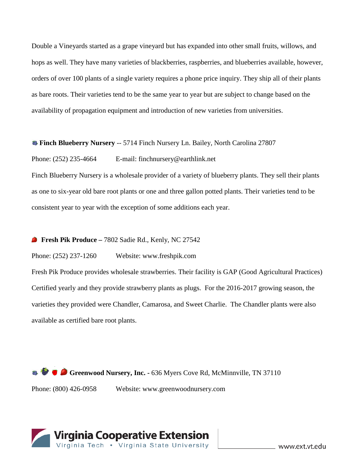Double a Vineyards started as a grape vineyard but has expanded into other small fruits, willows, and hops as well. They have many varieties of blackberries, raspberries, and blueberries available, however, orders of over 100 plants of a single variety requires a phone price inquiry. They ship all of their plants as bare roots. Their varieties tend to be the same year to year but are subject to change based on the availability of propagation equipment and introduction of new varieties from universities.

#### **Finch Blueberry Nursery** -- 5714 Finch Nursery Ln. Bailey, North Carolina 27807

Phone: (252) 235-4664 E-mail: finchnursery@earthlink.net

Finch Blueberry Nursery is a wholesale provider of a variety of blueberry plants. They sell their plants as one to six-year old bare root plants or one and three gallon potted plants. Their varieties tend to be consistent year to year with the exception of some additions each year.

#### **Fresh Pik Produce –** 7802 Sadie Rd., Kenly, NC 27542

Phone: (252) 237-1260 Website: www.freshpik.com

Fresh Pik Produce provides wholesale strawberries. Their facility is GAP (Good Agricultural Practices) Certified yearly and they provide strawberry plants as plugs. For the 2016-2017 growing season, the varieties they provided were Chandler, Camarosa, and Sweet Charlie. The Chandler plants were also available as certified bare root plants.

**Greenwood Nursery, Inc. - 636 Myers Cove Rd, McMinnville, TN 37110** Phone: (800) 426-0958 Website: www.greenwoodnursery.com

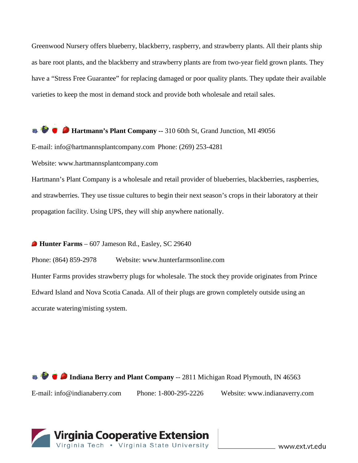Greenwood Nursery offers blueberry, blackberry, raspberry, and strawberry plants. All their plants ship as bare root plants, and the blackberry and strawberry plants are from two-year field grown plants. They have a "Stress Free Guarantee" for replacing damaged or poor quality plants. They update their available varieties to keep the most in demand stock and provide both wholesale and retail sales.

**Hartmann's Plant Company --** 310 60th St, Grand Junction, MI 49056

E-mail: info@hartmannsplantcompany.com Phone: (269) 253-4281

Website: www.hartmannsplantcompany.com

Hartmann's Plant Company is a wholesale and retail provider of blueberries, blackberries, raspberries, and strawberries. They use tissue cultures to begin their next season's crops in their laboratory at their propagation facility. Using UPS, they will ship anywhere nationally.

#### **Hunter Farms** – 607 Jameson Rd., Easley, SC 29640

Phone: (864) 859-2978 Website: www.hunterfarmsonline.com Hunter Farms provides strawberry plugs for wholesale. The stock they provide originates from Prince Edward Island and Nova Scotia Canada. All of their plugs are grown completely outside using an accurate watering/misting system.

**IDED** Indiana Berry and Plant Company -- 2811 Michigan Road Plymouth, IN 46563 E-mail: info@indianaberry.com Phone: 1-800-295-2226 Website: www.indianaverry.com

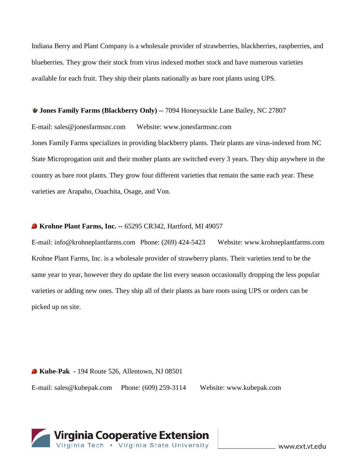Indiana Berry and Plant Company is a wholesale provider of strawberries, blackberries, raspberries, and blueberries. They grow their stock from virus indexed mother stock and have numerous varieties available for each fruit. They ship their plants nationally as bare root plants using UPS.

**Jones Family Farms (Blackberry Only) -**- 7094 Honeysuckle Lane Bailey, NC 27807

E-mail: sales@jonesfarmsnc.com Website: www.jonesfarmsnc.com

Jones Family Farms specializes in providing blackberry plants. Their plants are virus-indexed from NC State Microprogation unit and their mother plants are switched every 3 years. They ship anywhere in the country as bare root plants. They grow four different varieties that remain the same each year. These varieties are Arapaho, Ouachita, Osage, and Von.

#### **Krohne Plant Farms, Inc. --** 65295 CR342, Hartford, MI 49057

E-mail: info@krohneplantfarms.com Phone: (269) 424-5423 Website: www.krohneplantfarms.com Krohne Plant Farms, Inc. is a wholesale provider of strawberry plants. Their varieties tend to be the same year to year, however they do update the list every season occasionally dropping the less popular varieties or adding new ones. They ship all of their plants as bare roots using UPS or orders can be picked up on site.

**Kube-Pak -** 194 Route 526, Allentown, NJ 08501 E-mail: sales@kubepak.com Phone: (609) 259-3114 Website: www.kubepak.com

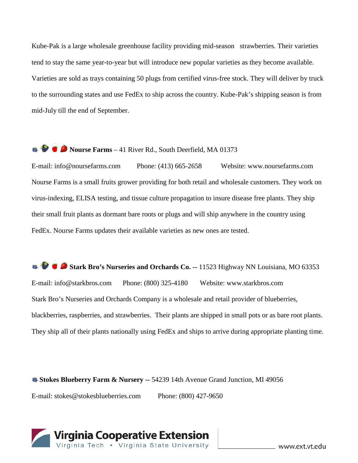Kube-Pak is a large wholesale greenhouse facility providing mid-season strawberries. Their varieties tend to stay the same year-to-year but will introduce new popular varieties as they become available. Varieties are sold as trays containing 50 plugs from certified virus-free stock. They will deliver by truck to the surrounding states and use FedEx to ship across the country. Kube-Pak's shipping season is from mid-July till the end of September.

## **Nourse Farms** – 41 River Rd., South Deerfield, MA 01373

E-mail: info@noursefarms.com Phone: (413) 665-2658 Website: www.noursefarms.com Nourse Farms is a small fruits grower providing for both retail and wholesale customers. They work on virus-indexing, ELISA testing, and tissue culture propagation to insure disease free plants. They ship their small fruit plants as dormant bare roots or plugs and will ship anywhere in the country using FedEx. Nourse Farms updates their available varieties as new ones are tested.

**Stark Bro's Nurseries and Orchards Co. --** 11523 Highway NN Louisiana, MO 63353 E-mail: info@starkbros.com Phone: (800) 325-4180 Website: www.starkbros.com Stark Bro's Nurseries and Orchards Company is a wholesale and retail provider of blueberries, blackberries, raspberries, and strawberries. Their plants are shipped in small pots or as bare root plants. They ship all of their plants nationally using FedEx and ships to arrive during appropriate planting time.

#### **Stokes Blueberry Farm & Nursery --** 54239 14th Avenue Grand Junction, MI 49056

E-mail: stokes@stokesblueberries.com Phone: (800) 427-9650

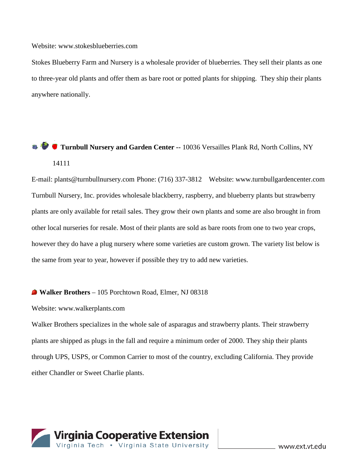#### Website: www.stokesblueberries.com

Stokes Blueberry Farm and Nursery is a wholesale provider of blueberries. They sell their plants as one to three-year old plants and offer them as bare root or potted plants for shipping. They ship their plants anywhere nationally.

# **Turnbull Nursery and Garden Center --** 10036 Versailles Plank Rd, North Collins, NY 14111

E-mail: plants@turnbullnursery.com Phone: (716) 337-3812 Website: www.turnbullgardencenter.com Turnbull Nursery, Inc. provides wholesale blackberry, raspberry, and blueberry plants but strawberry plants are only available for retail sales. They grow their own plants and some are also brought in from other local nurseries for resale. Most of their plants are sold as bare roots from one to two year crops, however they do have a plug nursery where some varieties are custom grown. The variety list below is the same from year to year, however if possible they try to add new varieties.

#### **Walker Brothers** – 105 Porchtown Road, Elmer, NJ 08318

#### Website: www.walkerplants.com

Walker Brothers specializes in the whole sale of asparagus and strawberry plants. Their strawberry plants are shipped as plugs in the fall and require a minimum order of 2000. They ship their plants through UPS, USPS, or Common Carrier to most of the country, excluding California. They provide either Chandler or Sweet Charlie plants.

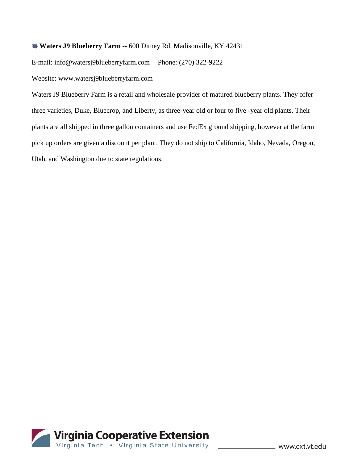#### **Waters J9 Blueberry Farm --** 600 Ditney Rd, Madisonville, KY 42431

E-mail: info@watersj9blueberryfarm.com Phone: (270) 322-9222

Website: www.watersj9blueberryfarm.com

Waters J9 Blueberry Farm is a retail and wholesale provider of matured blueberry plants. They offer three varieties, Duke, Bluecrop, and Liberty, as three-year old or four to five -year old plants. Their plants are all shipped in three gallon containers and use FedEx ground shipping, however at the farm pick up orders are given a discount per plant. They do not ship to California, Idaho, Nevada, Oregon, Utah, and Washington due to state regulations.

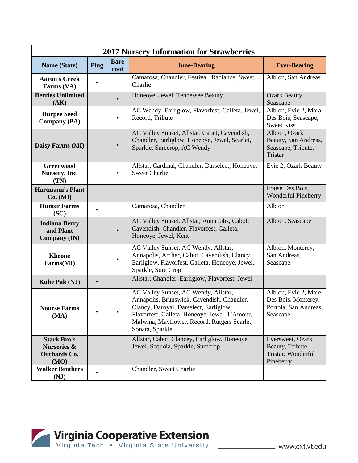| <b>2017 Nursery Information for Strawberries</b>                            |           |                     |                                                                                                                                                                                                                                                  |                                                                                  |  |  |
|-----------------------------------------------------------------------------|-----------|---------------------|--------------------------------------------------------------------------------------------------------------------------------------------------------------------------------------------------------------------------------------------------|----------------------------------------------------------------------------------|--|--|
| <b>Name (State)</b>                                                         | Plug      | <b>Bare</b><br>root | <b>June-Bearing</b>                                                                                                                                                                                                                              | <b>Ever-Bearing</b>                                                              |  |  |
| <b>Aaron's Creek</b><br>Farms (VA)                                          |           |                     | Camarosa, Chandler, Festival, Radiance, Sweet<br>Charlie                                                                                                                                                                                         | Albion, San Andreas                                                              |  |  |
| <b>Berries Unlimited</b><br>(AK)                                            |           |                     | Honeoye, Jewel, Tennessee Beauty                                                                                                                                                                                                                 | Ozark Beauty,<br>Seascape                                                        |  |  |
| <b>Burpee Seed</b><br><b>Company (PA)</b>                                   |           |                     | AC Wendy, Earliglow, Flavorfest, Galleta, Jewel,<br>Record, Tribute                                                                                                                                                                              | Albion, Evie 2, Mara<br>Des Bois, Seascape,<br><b>Sweet Kiss</b>                 |  |  |
| Daisy Farms (MI)                                                            |           |                     | AC Valley Sunset, Allstar, Cabet, Cavendish,<br>Chandler, Earliglow, Honeoye, Jewel, Scarlet,<br>Sparkle, Surecrop, AC Wendy                                                                                                                     | Albion, Ozark<br>Beauty, San Andreas,<br>Seascape, Tribute,<br>Tristar           |  |  |
| <b>Greenwood</b><br>Nursery, Inc.<br>(TN)                                   |           | $\bullet$           | Allstar, Cardinal, Chandler, Darselect, Honeoye,<br><b>Sweet Charlie</b>                                                                                                                                                                         | Evie 2, Ozark Beauty                                                             |  |  |
| <b>Hartmann's Plant</b><br>Co. (MI)                                         |           |                     |                                                                                                                                                                                                                                                  | Fraise Des Bois,<br><b>Wonderful Pineberry</b>                                   |  |  |
| <b>Hunter Farms</b><br>(SC)                                                 |           |                     | Camarosa, Chandler                                                                                                                                                                                                                               | Albion                                                                           |  |  |
| <b>Indiana Berry</b><br>and Plant<br><b>Company (IN)</b>                    |           |                     | AC Valley Sunset, Allstar, Annapolis, Cabot,<br>Cavendish, Chandler, Flavorfest, Galleta,<br>Honeoye, Jewel, Kent                                                                                                                                | Albion, Seascape                                                                 |  |  |
| <b>Khrone</b><br>Farms(MI)                                                  |           |                     | AC Valley Sunset, AC Wendy, Allstar,<br>Annapolis, Archer, Cabot, Cavendish, Clancy,<br>Earliglow, Flavorfest, Galleta, Honeoye, Jewel,<br>Sparkle, Sure Crop                                                                                    | Albion, Monterey,<br>San Andreas,<br>Seascape                                    |  |  |
| <b>Kube Pak (NJ)</b>                                                        | $\bullet$ |                     | Allstar, Chandler, Earliglow, Flavorfest, Jewel                                                                                                                                                                                                  |                                                                                  |  |  |
| <b>Nourse Farms</b><br>(MA)                                                 |           |                     | AC Valley Sunset, AC Wendy, Allstar,<br>Annapolis, Brunswick, Cavendish, Chandler,<br>Clancy, Daroyal, Darselect, Earliglow,<br>Flavorfest, Galleta, Honeoye, Jewel, L'Amour,<br>Malwina, Mayflower, Record, Rutgers Scarlet,<br>Sonata, Sparkle | Albion, Evie 2, Mare<br>Des Bois, Monterey,<br>Portola, San Andreas,<br>Seascape |  |  |
| <b>Stark Bro's</b><br><b>Nurseries &amp;</b><br><b>Orchards Co.</b><br>(MO) |           |                     | Allstar, Cabot, Clancey, Earliglow, Honeoye,<br>Jewel, Sequoia, Sparkle, Surecrop                                                                                                                                                                | Eversweet, Ozark<br>Beauty, Tribute,<br>Tristar, Wonderful<br>Pineberry          |  |  |
| <b>Walker Brothers</b><br>(NJ)                                              | $\bullet$ |                     | Chandler, Sweet Charlie                                                                                                                                                                                                                          |                                                                                  |  |  |

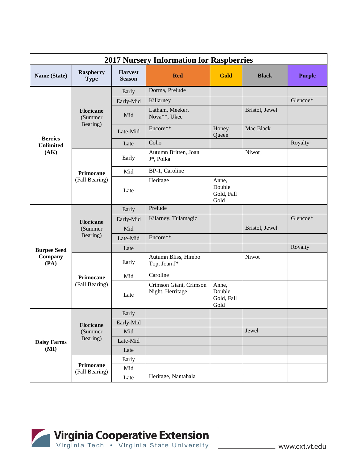|                    | <b>2017 Nursery Information for Raspberries</b> |                                 |                                            |                                       |                |               |  |  |
|--------------------|-------------------------------------------------|---------------------------------|--------------------------------------------|---------------------------------------|----------------|---------------|--|--|
| Name (State)       | <b>Raspberry</b><br><b>Type</b>                 | <b>Harvest</b><br><b>Season</b> | <b>Red</b>                                 | Gold                                  | <b>Black</b>   | <b>Purple</b> |  |  |
|                    |                                                 | Early                           | Dorma, Prelude                             |                                       |                |               |  |  |
|                    |                                                 | Early-Mid                       | Killarney                                  |                                       |                | Glencoe*      |  |  |
|                    | <b>Floricane</b><br>(Summer                     | Mid                             | Latham, Meeker,<br>Nova**, Ukee            |                                       | Bristol, Jewel |               |  |  |
| <b>Berries</b>     | Bearing)                                        | Late-Mid                        | Encore**                                   | Honey<br>Queen                        | Mac Black      |               |  |  |
| <b>Unlimited</b>   |                                                 | Late                            | Coho                                       |                                       |                | Royalty       |  |  |
| (AK)               |                                                 | Early                           | Autumn Britten, Joan<br>J*, Polka          |                                       | Niwot          |               |  |  |
|                    | Primocane                                       | Mid                             | BP-1, Caroline                             |                                       |                |               |  |  |
|                    | (Fall Bearing)                                  | Late                            | Heritage                                   | Anne,<br>Double<br>Gold, Fall<br>Gold |                |               |  |  |
|                    | <b>Floricane</b><br>(Summer<br>Bearing)         | Early                           | Prelude                                    |                                       |                |               |  |  |
|                    |                                                 | Early-Mid                       | Kilarney, Tulamagic                        |                                       |                | Glencoe*      |  |  |
|                    |                                                 | Mid                             |                                            |                                       | Bristol, Jewel |               |  |  |
|                    |                                                 | Late-Mid                        | Encore**                                   |                                       |                |               |  |  |
| <b>Burpee Seed</b> |                                                 | Late                            |                                            |                                       |                | Royalty       |  |  |
| Company<br>(PA)    |                                                 | Early                           | Autumn Bliss, Himbo<br>Top, Joan J*        |                                       | Niwot          |               |  |  |
|                    | Primocane                                       | Mid                             | Caroline                                   |                                       |                |               |  |  |
|                    | (Fall Bearing)                                  | Late                            | Crimson Giant, Crimson<br>Night, Herritage | Anne,<br>Double<br>Gold, Fall<br>Gold |                |               |  |  |
|                    |                                                 | Early                           |                                            |                                       |                |               |  |  |
|                    | <b>Floricane</b>                                | Early-Mid                       |                                            |                                       |                |               |  |  |
|                    | (Summer                                         | Mid                             |                                            |                                       | Jewel          |               |  |  |
| <b>Daisy Farms</b> | Bearing)                                        | Late-Mid                        |                                            |                                       |                |               |  |  |
| (MI)               |                                                 | Late                            |                                            |                                       |                |               |  |  |
|                    |                                                 | Early                           |                                            |                                       |                |               |  |  |
|                    | Primocane<br>(Fall Bearing)                     | Mid                             |                                            |                                       |                |               |  |  |
|                    |                                                 | Late                            | Heritage, Nantahala                        |                                       |                |               |  |  |

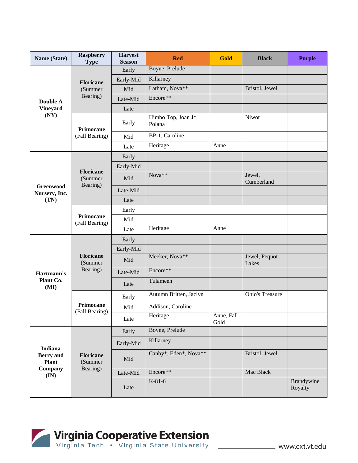| Name (State)                     | <b>Raspberry</b><br><b>Type</b>         | <b>Harvest</b><br><b>Season</b> | <b>Red</b>                    | <b>Gold</b>        | <b>Black</b>           | <b>Purple</b>          |
|----------------------------------|-----------------------------------------|---------------------------------|-------------------------------|--------------------|------------------------|------------------------|
|                                  |                                         | Early                           | Boyne, Prelude                |                    |                        |                        |
|                                  | <b>Floricane</b>                        | Early-Mid                       | Killarney                     |                    |                        |                        |
|                                  | (Summer                                 | Mid                             | Latham, Nova**                |                    | Bristol, Jewel         |                        |
| Double A                         | Bearing)                                | Late-Mid                        | Encore**                      |                    |                        |                        |
| <b>Vineyard</b>                  |                                         | Late                            |                               |                    |                        |                        |
| (NY)                             | Primocane                               | Early                           | Himbo Top, Joan J*,<br>Polana |                    | Niwot                  |                        |
|                                  | (Fall Bearing)                          | Mid                             | BP-1, Caroline                |                    |                        |                        |
|                                  |                                         | Late                            | Heritage                      | Anne               |                        |                        |
|                                  |                                         | Early                           |                               |                    |                        |                        |
|                                  |                                         | Early-Mid                       |                               |                    |                        |                        |
| Greenwood                        | <b>Floricane</b><br>(Summer<br>Bearing) | Mid                             | Nova**                        |                    | Jewel,<br>Cumberland   |                        |
| Nursery, Inc.                    |                                         | Late-Mid                        |                               |                    |                        |                        |
| (TN)                             |                                         | Late                            |                               |                    |                        |                        |
|                                  | <b>Primocane</b><br>(Fall Bearing)      | Early                           |                               |                    |                        |                        |
|                                  |                                         | Mid                             |                               |                    |                        |                        |
|                                  |                                         | Late                            | Heritage                      | Anne               |                        |                        |
|                                  |                                         | Early                           |                               |                    |                        |                        |
|                                  |                                         | Early-Mid                       |                               |                    |                        |                        |
|                                  | <b>Floricane</b><br>(Summer             | Mid                             | Meeker, Nova**                |                    | Jewel, Pequot<br>Lakes |                        |
| Hartmann's                       | Bearing)                                | Late-Mid                        | Encore**                      |                    |                        |                        |
| Plant Co.<br>(MI)                |                                         | Late                            | Tulameen                      |                    |                        |                        |
|                                  |                                         | Early                           | Autumn Britten, Jaclyn        |                    | Ohio's Treasure        |                        |
|                                  | <b>Primocane</b><br>(Fall Bearing)      | Mid                             | Addison, Caroline             |                    |                        |                        |
|                                  |                                         | Late                            | Heritage                      | Anne, Fall<br>Gold |                        |                        |
|                                  |                                         | Early                           | Boyne, Prelude                |                    |                        |                        |
| <b>Indiana</b>                   |                                         | Early-Mid                       | Killarney                     |                    |                        |                        |
| <b>Berry</b> and<br><b>Plant</b> | <b>Floricane</b><br>(Summer             | Mid                             | Canby*, Eden*, Nova**         |                    | Bristol, Jewel         |                        |
| Company<br>$(\mathbf{IN})$       | Bearing)                                | Late-Mid                        | Encore**                      |                    | Mac Black              |                        |
|                                  |                                         | Late                            | $K-81-6$                      |                    |                        | Brandywine,<br>Royalty |

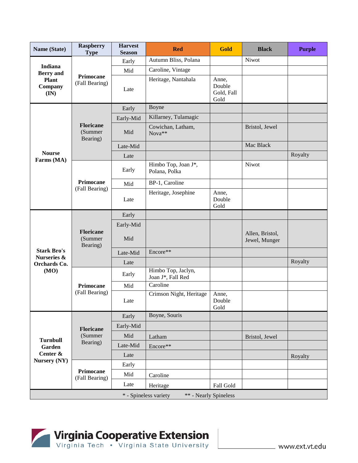| Name (State)                                                                     | <b>Raspberry</b><br><b>Type</b>                | <b>Harvest</b><br><b>Season</b> | <b>Red</b>                              | <b>Gold</b>                           | <b>Black</b>                     | <b>Purple</b> |  |  |  |
|----------------------------------------------------------------------------------|------------------------------------------------|---------------------------------|-----------------------------------------|---------------------------------------|----------------------------------|---------------|--|--|--|
| <b>Indiana</b><br><b>Berry</b> and<br><b>Plant</b><br>Company<br>$(\mathbf{IN})$ |                                                | Early                           | Autumn Bliss, Polana                    |                                       | Niwot                            |               |  |  |  |
|                                                                                  | Primocane<br>(Fall Bearing)                    | Mid                             | Caroline, Vintage                       |                                       |                                  |               |  |  |  |
|                                                                                  |                                                | Late                            | Heritage, Nantahala                     | Anne,<br>Double<br>Gold, Fall<br>Gold |                                  |               |  |  |  |
|                                                                                  |                                                | Early                           | Boyne                                   |                                       |                                  |               |  |  |  |
|                                                                                  |                                                | Early-Mid                       | Killarney, Tulamagic                    |                                       |                                  |               |  |  |  |
|                                                                                  | <b>Floricane</b><br>(Summer<br>Bearing)        | Mid                             | Cowichan, Latham,<br>Nova**             |                                       | Bristol, Jewel                   |               |  |  |  |
|                                                                                  |                                                | Late-Mid                        |                                         |                                       | Mac Black                        |               |  |  |  |
| <b>Nourse</b><br>Farms (MA)                                                      |                                                | Late                            |                                         |                                       |                                  | Royalty       |  |  |  |
|                                                                                  |                                                | Early                           | Himbo Top, Joan J*,<br>Polana, Polka    |                                       | Niwot                            |               |  |  |  |
|                                                                                  | Primocane<br>(Fall Bearing)                    | Mid                             | BP-1, Caroline                          |                                       |                                  |               |  |  |  |
|                                                                                  |                                                | Late                            | Heritage, Josephine                     | Anne,<br>Double<br>Gold               |                                  |               |  |  |  |
|                                                                                  | <b>Floricane</b><br>(Summer<br>Bearing)        | Early                           |                                         |                                       |                                  |               |  |  |  |
|                                                                                  |                                                | Early-Mid                       |                                         |                                       |                                  |               |  |  |  |
|                                                                                  |                                                | Mid                             |                                         |                                       | Allen, Bristol,<br>Jewel, Munger |               |  |  |  |
| <b>Stark Bro's</b>                                                               |                                                | Late-Mid                        | Encore**                                |                                       |                                  |               |  |  |  |
| Nurseries &<br>Orchards Co.                                                      |                                                | Late                            |                                         |                                       |                                  | Royalty       |  |  |  |
| (MO)                                                                             |                                                | Early                           | Himbo Top, Jaclyn,<br>Joan J*, Fall Red |                                       |                                  |               |  |  |  |
|                                                                                  | Primocane                                      | Mid                             | Caroline                                |                                       |                                  |               |  |  |  |
|                                                                                  | (Fall Bearing)                                 | Late                            | Crimson Night, Heritage                 | Anne,<br>Double<br>Gold               |                                  |               |  |  |  |
|                                                                                  |                                                | Early                           | Boyne, Souris                           |                                       |                                  |               |  |  |  |
|                                                                                  | <b>Floricane</b>                               | Early-Mid                       |                                         |                                       |                                  |               |  |  |  |
|                                                                                  | (Summer                                        | Mid                             | Latham                                  |                                       | Bristol, Jewel                   |               |  |  |  |
| <b>Turnbull</b><br>Garden                                                        | Bearing)                                       | Late-Mid                        | Encore**                                |                                       |                                  |               |  |  |  |
| Center &                                                                         |                                                | Late                            |                                         |                                       |                                  | Royalty       |  |  |  |
| Nursery (NY)                                                                     |                                                | Early                           |                                         |                                       |                                  |               |  |  |  |
|                                                                                  | Primocane<br>(Fall Bearing)                    | Mid                             | Caroline                                |                                       |                                  |               |  |  |  |
|                                                                                  |                                                | Late                            | Heritage                                | Fall Gold                             |                                  |               |  |  |  |
|                                                                                  | * - Spineless variety<br>** - Nearly Spineless |                                 |                                         |                                       |                                  |               |  |  |  |

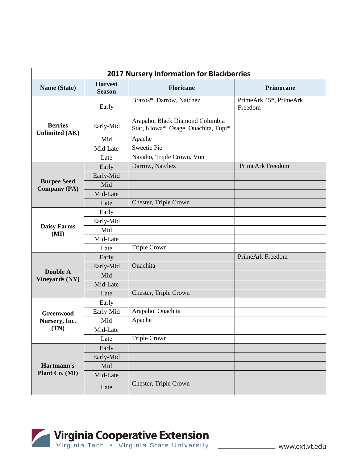| <b>2017 Nursery Information for Blackberries</b> |                                 |                                                                         |                                   |  |  |
|--------------------------------------------------|---------------------------------|-------------------------------------------------------------------------|-----------------------------------|--|--|
| Name (State)                                     | <b>Harvest</b><br><b>Season</b> | <b>Floricane</b>                                                        | Primocane                         |  |  |
|                                                  | Early                           | Brazos*, Darrow, Natchez                                                | PrimeArk 45*, PrimeArk<br>Freedom |  |  |
| <b>Berries</b><br><b>Unlimited (AK)</b>          | Early-Mid                       | Arapaho, Black Diamond Columbia<br>Star, Kiowa*, Osage, Ouachita, Tupi* |                                   |  |  |
|                                                  | Mid                             | Apache                                                                  |                                   |  |  |
|                                                  | Mid-Late                        | <b>Sweetie Pie</b>                                                      |                                   |  |  |
|                                                  | Late                            | Navaho, Triple Crown, Von                                               |                                   |  |  |
|                                                  | Early                           | Darrow, Natchez                                                         | PrimeArk Freedom                  |  |  |
|                                                  | Early-Mid                       |                                                                         |                                   |  |  |
| <b>Burpee Seed</b><br><b>Company</b> (PA)        | Mid                             |                                                                         |                                   |  |  |
|                                                  | Mid-Late                        |                                                                         |                                   |  |  |
|                                                  | Late                            | Chester, Triple Crown                                                   |                                   |  |  |
|                                                  | Early                           |                                                                         |                                   |  |  |
|                                                  | Early-Mid                       |                                                                         |                                   |  |  |
| <b>Daisy Farms</b><br>(MI)                       | Mid                             |                                                                         |                                   |  |  |
|                                                  | Mid-Late                        |                                                                         |                                   |  |  |
|                                                  | Late                            | <b>Triple Crown</b>                                                     |                                   |  |  |
|                                                  | Early                           |                                                                         | PrimeArk Freedom                  |  |  |
|                                                  | Early-Mid                       | Ouachita                                                                |                                   |  |  |
| <b>Double A</b><br><b>Vineyards (NY)</b>         | Mid                             |                                                                         |                                   |  |  |
|                                                  | Mid-Late                        |                                                                         |                                   |  |  |
|                                                  | Late                            | Chester, Triple Crown                                                   |                                   |  |  |
|                                                  | Early                           |                                                                         |                                   |  |  |
| <b>Greenwood</b>                                 | Early-Mid                       | Arapaho, Ouachita                                                       |                                   |  |  |
| Nursery, Inc.                                    | Mid                             | Apache                                                                  |                                   |  |  |
| (TN)                                             | Mid-Late                        |                                                                         |                                   |  |  |
|                                                  | Late                            | <b>Triple Crown</b>                                                     |                                   |  |  |
|                                                  | Early                           |                                                                         |                                   |  |  |
|                                                  | Early-Mid                       |                                                                         |                                   |  |  |
| Hartmann's                                       | Mid                             |                                                                         |                                   |  |  |
| Plant Co. (MI)                                   | Mid-Late                        |                                                                         |                                   |  |  |
|                                                  | Late                            | Chester, Triple Crown                                                   |                                   |  |  |

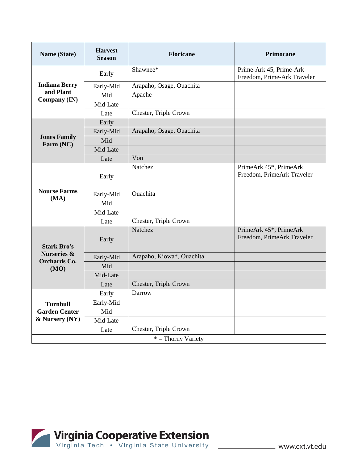| Name (State)                                  | <b>Harvest</b><br><b>Season</b> | <b>Floricane</b>          | <b>Primocane</b>                                       |
|-----------------------------------------------|---------------------------------|---------------------------|--------------------------------------------------------|
|                                               | Early                           | Shawnee*                  | Prime-Ark 45, Prime-Ark<br>Freedom, Prime-Ark Traveler |
| <b>Indiana Berry</b>                          | Early-Mid                       | Arapaho, Osage, Ouachita  |                                                        |
| and Plant<br>Company (IN)                     | Mid                             | Apache                    |                                                        |
|                                               | Mid-Late                        |                           |                                                        |
|                                               | Late                            | Chester, Triple Crown     |                                                        |
|                                               | Early                           |                           |                                                        |
|                                               | Early-Mid                       | Arapaho, Osage, Ouachita  |                                                        |
| <b>Jones Family</b><br>Farm (NC)              | Mid                             |                           |                                                        |
|                                               | Mid-Late                        |                           |                                                        |
|                                               | Late                            | Von                       |                                                        |
|                                               | Early                           | Natchez                   | PrimeArk 45*, PrimeArk<br>Freedom, PrimeArk Traveler   |
| <b>Nourse Farms</b>                           | Early-Mid                       | <b>Ouachita</b>           |                                                        |
| (MA)                                          | Mid                             |                           |                                                        |
|                                               | Mid-Late                        |                           |                                                        |
|                                               | Late                            | Chester, Triple Crown     |                                                        |
| <b>Stark Bro's</b>                            | Early                           | Natchez                   | PrimeArk 45*, PrimeArk<br>Freedom, PrimeArk Traveler   |
| <b>Nurseries &amp;</b><br><b>Orchards Co.</b> | Early-Mid                       | Arapaho, Kiowa*, Ouachita |                                                        |
| (MO)                                          | Mid                             |                           |                                                        |
|                                               | Mid-Late                        |                           |                                                        |
|                                               | Late                            | Chester, Triple Crown     |                                                        |
|                                               | Early                           | Darrow                    |                                                        |
| <b>Turnbull</b>                               | Early-Mid                       |                           |                                                        |
| <b>Garden Center</b>                          | Mid                             |                           |                                                        |
| & Nursery (NY)                                | Mid-Late                        |                           |                                                        |
|                                               | Late                            | Chester, Triple Crown     |                                                        |
|                                               |                                 | $*$ = Thorny Variety      |                                                        |

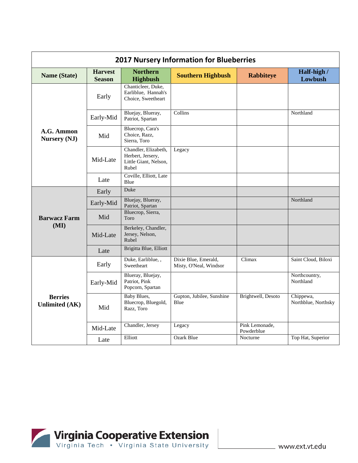| <b>2017 Nursery Information for Blueberries</b> |                                 |                                                                             |                                                |                              |                                  |  |
|-------------------------------------------------|---------------------------------|-----------------------------------------------------------------------------|------------------------------------------------|------------------------------|----------------------------------|--|
| Name (State)                                    | <b>Harvest</b><br><b>Season</b> | <b>Northern</b><br><b>Highbush</b>                                          | <b>Southern Highbush</b>                       | <b>Rabbiteye</b>             | Half-high /<br>Lowbush           |  |
|                                                 | Early                           | Chanticleer, Duke,<br>Earliblue, Hannah's<br>Choice, Sweetheart             |                                                |                              |                                  |  |
|                                                 | Early-Mid                       | Bluejay, Blueray,<br>Patriot, Spartan                                       | Collins                                        |                              | Northland                        |  |
| A.G. Ammon<br>Nursery (NJ)                      | Mid                             | Bluecrop, Cara's<br>Choice, Razz,<br>Sierra, Toro                           |                                                |                              |                                  |  |
|                                                 | Mid-Late                        | Chandler, Elizabeth,<br>Herbert, Jersery,<br>Little Giant, Nelson,<br>Rubel | Legacy                                         |                              |                                  |  |
|                                                 | Late                            | Coville, Elliott, Late<br>Blue                                              |                                                |                              |                                  |  |
|                                                 | Early                           | Duke                                                                        |                                                |                              |                                  |  |
|                                                 | Early-Mid                       | Bluejay, Blueray,<br>Patriot, Spartan                                       |                                                |                              | Northland                        |  |
| <b>Barwacz Farm</b>                             | Mid                             | Bluecrop, Sierra,<br>Toro                                                   |                                                |                              |                                  |  |
| (MI)                                            | Mid-Late                        | Berkeley, Chandler,<br>Jersey, Nelson,<br>Rubel                             |                                                |                              |                                  |  |
|                                                 | Late                            | Brigitta Blue, Elliott                                                      |                                                |                              |                                  |  |
| <b>Berries</b><br><b>Unlimited (AK)</b>         | Early                           | Duke, Earliblue, ,<br>Sweetheart                                            | Dixie Blue, Emerald,<br>Misty, O'Neal, Windsor | Climax                       | Saint Cloud, Biloxi              |  |
|                                                 | Early-Mid                       | Blueray, Bluejay,<br>Patriot, Pink<br>Popcorn, Spartan                      |                                                |                              | Northcountry,<br>Northland       |  |
|                                                 | Mid                             | <b>Baby Blues,</b><br>Bluecrop, Bluegold,<br>Razz, Toro                     | Gupton, Jubilee, Sunshine<br>Blue              | Brightwell, Desoto           | Chippewa,<br>Northblue, Northsky |  |
|                                                 | Mid-Late                        | Chandler, Jersey                                                            | Legacy                                         | Pink Lemonade,<br>Powderblue |                                  |  |
|                                                 | Late                            | Elliott                                                                     | <b>Ozark Blue</b>                              | Nocturne                     | Top Hat, Superior                |  |

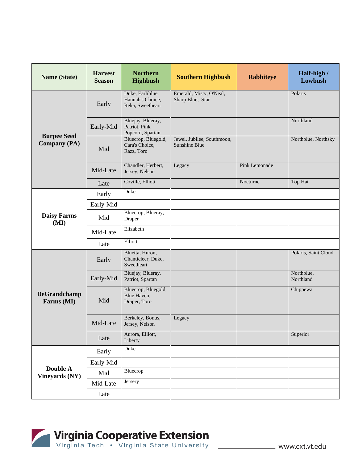| <b>Name (State)</b>               | <b>Harvest</b><br><b>Season</b> | <b>Northern</b><br><b>Highbush</b>                       | <b>Southern Highbush</b>                    | <b>Rabbiteye</b> | Half-high /<br>Lowbush  |
|-----------------------------------|---------------------------------|----------------------------------------------------------|---------------------------------------------|------------------|-------------------------|
|                                   | Early                           | Duke, Earliblue,<br>Hannah's Choice,<br>Reka, Sweetheart | Emerald, Misty, O'Neal,<br>Sharp Blue, Star |                  | Polaris                 |
| <b>Burpee Seed</b>                | Early-Mid                       | Bluejay, Blueray,<br>Patriot, Pink<br>Popcorn, Spartan   |                                             |                  | Northland               |
| <b>Company (PA)</b>               | Mid                             | Bluecrop, Bluegold,<br>Cara's Choice,<br>Razz, Toro      | Jewel, Jubilee, Southmoon,<br>Sunshine Blue |                  | Northblue, Northsky     |
|                                   | Mid-Late                        | Chandler, Herbert,<br>Jersey, Nelson                     | Legacy                                      | Pink Lemonade    |                         |
|                                   | Late                            | Coville, Elliott                                         |                                             | Nocturne         | Top Hat                 |
|                                   | Early                           | Duke                                                     |                                             |                  |                         |
|                                   | Early-Mid                       |                                                          |                                             |                  |                         |
| <b>Daisy Farms</b><br>(MI)        | Mid                             | Bluecrop, Blueray,<br>Draper                             |                                             |                  |                         |
|                                   | Mid-Late                        | Elizabeth                                                |                                             |                  |                         |
|                                   | Late                            | Elliott                                                  |                                             |                  |                         |
|                                   | Early                           | Bluetta, Huron,<br>Chanticleer, Duke,<br>Sweetheart      |                                             |                  | Polaris, Saint Cloud    |
|                                   | Early-Mid                       | Bluejay, Blueray,<br>Patriot, Spartan                    |                                             |                  | Northblue,<br>Northland |
| <b>DeGrandchamp</b><br>Farms (MI) | Mid                             | Bluecrop, Bluegold,<br>Blue Haven,<br>Draper, Toro       |                                             |                  | Chippewa                |
|                                   | Mid-Late                        | Berkeley, Bonus,<br>Jersey, Nelson                       | Legacy                                      |                  |                         |
|                                   | Late                            | Aurora, Elliott,<br>Liberty                              |                                             |                  | Superior                |
|                                   | Early                           | Duke                                                     |                                             |                  |                         |
|                                   | Early-Mid                       |                                                          |                                             |                  |                         |
| Double A<br>Vineyards (NY)        | Mid                             | Bluecrop                                                 |                                             |                  |                         |
|                                   | Mid-Late                        | Jersery                                                  |                                             |                  |                         |
|                                   | Late                            |                                                          |                                             |                  |                         |

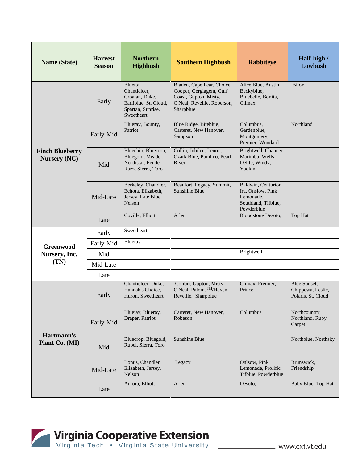| <b>Name (State)</b>                           | <b>Harvest</b><br><b>Season</b> | <b>Northern</b><br><b>Highbush</b>                                                                     | <b>Southern Highbush</b>                                                                                                   | <b>Rabbiteye</b>                                                                           | Half-high /<br>Lowbush                                  |
|-----------------------------------------------|---------------------------------|--------------------------------------------------------------------------------------------------------|----------------------------------------------------------------------------------------------------------------------------|--------------------------------------------------------------------------------------------|---------------------------------------------------------|
|                                               | Early                           | Bluetta,<br>Chanticleer,<br>Croatan, Duke,<br>Earliblue, St. Cloud,<br>Spartan, Sunrise,<br>Sweetheart | Bladen, Cape Fear, Choice,<br>Cooper, Gergiagem, Gulf<br>Coast, Gupton, Misty,<br>O'Neal, Reveille, Roberson,<br>Sharpblue | Alice Blue, Austin,<br>Beckyblue,<br>Bluebelle, Bonita,<br>Climax                          | Biloxi                                                  |
|                                               | Early-Mid                       | Blueray, Bounty,<br>Patriot                                                                            | Blue Ridge, Biteblue,<br>Carteret, New Hanover,<br>Sampson                                                                 | Columbus,<br>Gardenblue,<br>Montgomery,<br>Premier, Woodard                                | Northland                                               |
| <b>Finch Blueberry</b><br><b>Nursery (NC)</b> | Mid                             | Bluechip, Bluecrop,<br>Bluegold, Meader,<br>Northstar, Pender,<br>Razz, Sierra, Toro                   | Collin, Jubilee, Lenoir,<br>Ozark Blue, Pamlico, Pearl<br>River                                                            | Brightwell, Chaucer,<br>Marimba, Wells<br>Delite, Windy,<br>Yadkin                         |                                                         |
|                                               | Mid-Late                        | Berkeley, Chandler,<br>Echota, Elizabeth,<br>Jersey, Late Blue,<br>Nelson                              | Beaufort, Legacy, Summit,<br><b>Sunshine Blue</b>                                                                          | Baldwin, Centurion,<br>Ira, Onslow, Pink<br>Lemonade,<br>Southland, Tifblue,<br>Powderblue |                                                         |
|                                               | Late                            | Coville, Elliott                                                                                       | Arlen                                                                                                                      | <b>Bloodstone Desoto,</b>                                                                  | Top Hat                                                 |
|                                               | Early                           | Sweetheart                                                                                             |                                                                                                                            |                                                                                            |                                                         |
| <b>Greenwood</b>                              | Early-Mid                       | Blueray                                                                                                |                                                                                                                            |                                                                                            |                                                         |
| Nursery, Inc.                                 | Mid                             |                                                                                                        |                                                                                                                            | Brightwell                                                                                 |                                                         |
| (TN)                                          | Mid-Late                        |                                                                                                        |                                                                                                                            |                                                                                            |                                                         |
|                                               | Late                            |                                                                                                        |                                                                                                                            |                                                                                            |                                                         |
| Hartmann's<br>Plant Co. (MI)                  | Early                           | Chanticleer, Duke,<br>Hannah's Choice,<br>Huron, Sweetheart                                            | Colibri, Gupton, Misty,<br>O'Neal, Paloma™/Haven,<br>Reveille, Sharpblue                                                   | Climax, Premier,<br>Prince                                                                 | Blue Sunset,<br>Chippewa, Leslie,<br>Polaris, St. Cloud |
|                                               | Early-Mid                       | Bluejay, Blueray,<br>Draper, Patriot                                                                   | Carteret, New Hanover,<br>Robeson                                                                                          | Columbus                                                                                   | Northcountry,<br>Northland, Ruby<br>Carpet              |
|                                               | Mid                             | Bluecrop, Bluegold,<br>Rubel, Sierra, Toro                                                             | Sunshine Blue                                                                                                              |                                                                                            | Northblue, Northsky                                     |
|                                               | Mid-Late                        | Bonus, Chandler,<br>Elizabeth, Jersey,<br>Nelson                                                       | Legacy                                                                                                                     | Onlsow, Pink<br>Lemonade, Prolific,<br>Tifblue, Powderblue                                 | Brunswick,<br>Friendship                                |
|                                               | Late                            | Aurora, Elliott                                                                                        | Arlen                                                                                                                      | Desoto,                                                                                    | Baby Blue, Top Hat                                      |

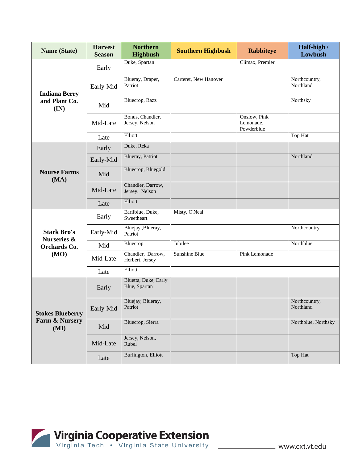| Name (State)                      | <b>Harvest</b><br><b>Season</b> | <b>Northern</b><br><b>Highbush</b>    | <b>Southern Highbush</b> | <b>Rabbiteye</b>                        | Half-high /<br>Lowbush     |
|-----------------------------------|---------------------------------|---------------------------------------|--------------------------|-----------------------------------------|----------------------------|
|                                   | Early                           | Duke, Spartan                         |                          | Climax, Premier                         |                            |
| <b>Indiana Berry</b>              | Early-Mid                       | Blueray, Draper,<br>Patriot           | Carteret, New Hanover    |                                         | Northcountry,<br>Northland |
| and Plant Co.<br>(IN)             | Mid                             | Bluecrop, Razz                        |                          |                                         | Northsky                   |
|                                   | Mid-Late                        | Bonus, Chandler,<br>Jersey, Nelson    |                          | Onslow, Pink<br>Lemonade,<br>Powderblue |                            |
|                                   | Late                            | Elliott                               |                          |                                         | Top Hat                    |
|                                   | Early                           | Duke, Reka                            |                          |                                         |                            |
|                                   | Early-Mid                       | <b>Blueray</b> , Patriot              |                          |                                         | Northland                  |
| <b>Nourse Farms</b><br>(MA)       | Mid                             | Bluecrop, Bluegold                    |                          |                                         |                            |
|                                   | Mid-Late                        | Chandler, Darrow,<br>Jersey. Nelson   |                          |                                         |                            |
|                                   | Late                            | Elliott                               |                          |                                         |                            |
|                                   | Early                           | Earliblue, Duke,<br>Sweetheart        | Misty, O'Neal            |                                         |                            |
| <b>Stark Bro's</b><br>Nurseries & | Early-Mid                       | Bluejay, Blueray,<br>Patriot          |                          |                                         | Northcountry               |
| Orchards Co.                      | Mid                             | Bluecrop                              | Jubilee                  |                                         | Northblue                  |
| (MO)                              | Mid-Late                        | Chandler, Darrow,<br>Herbert, Jersey  | <b>Sunshine Blue</b>     | <b>Pink Lemonade</b>                    |                            |
|                                   | Late                            | Elliott                               |                          |                                         |                            |
| <b>Stokes Blueberry</b>           | Early                           | Bluetta, Duke, Early<br>Blue, Spartan |                          |                                         |                            |
|                                   | Early-Mid                       | Bluejay, Blueray,<br>Patriot          |                          |                                         | Northcountry,<br>Northland |
| Farm & Nursery<br>(MI)            | Mid                             | Bluecrop, Sierra                      |                          |                                         | Northblue, Northsky        |
|                                   | Mid-Late                        | Jersey, Nelson,<br>Rubel              |                          |                                         |                            |
|                                   | Late                            | Burlington, Elliott                   |                          |                                         | Top Hat                    |